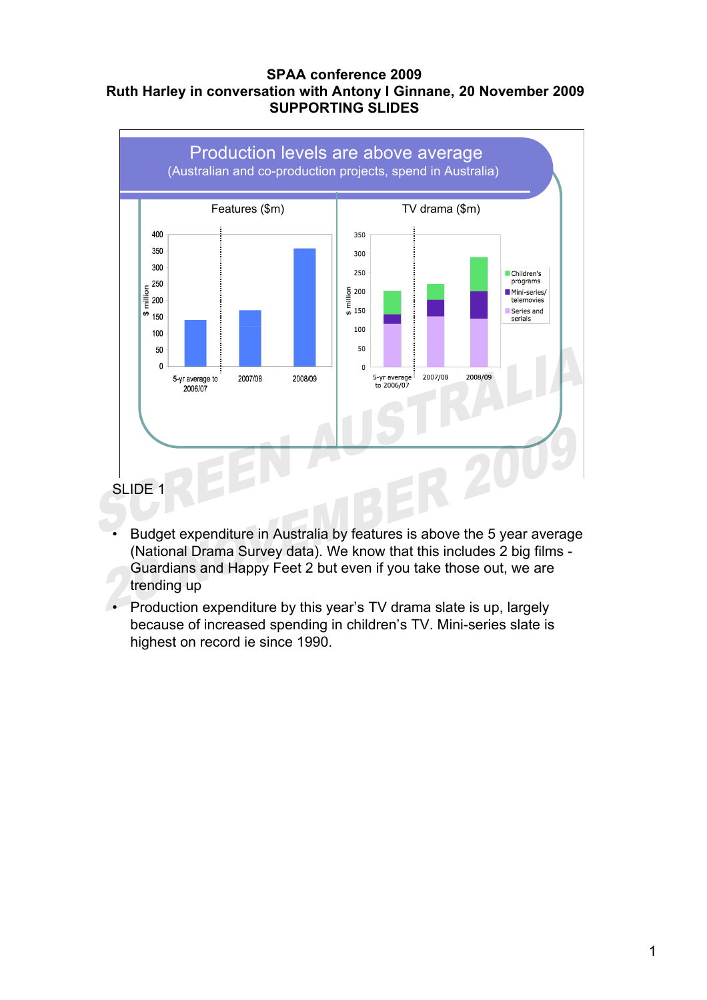#### **SPAA conference 2009 Ruth Harley in conversation with Antony I Ginnane, 20 November 2009 SUPPORTING SLIDES**



- Budget expenditure in Australia by features is above the 5 year average (National Drama Survey data). We know that this includes 2 big films - Guardians and Happy Feet 2 but even if you take those out, we are trending up
- Production expenditure by this year's TV drama slate is up, largely because of increased spending in children's TV. Mini-series slate is highest on record ie since 1990.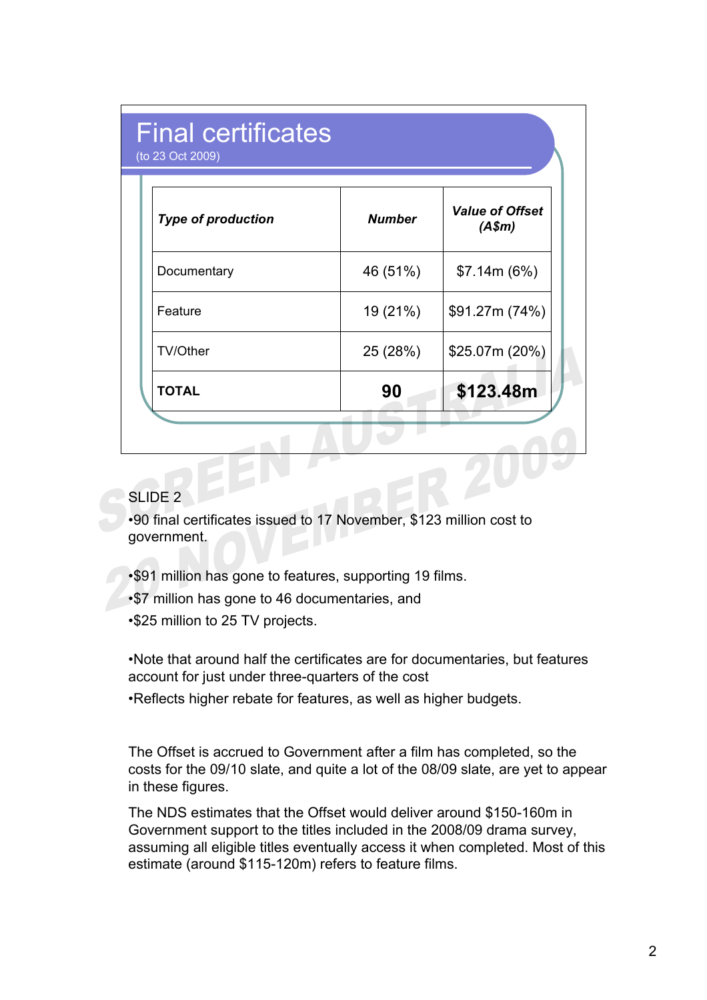| <b>Final certificates</b><br>(to 23 Oct 2009) |               |                                  |  |  |  |
|-----------------------------------------------|---------------|----------------------------------|--|--|--|
| <b>Type of production</b>                     | <b>Number</b> | <b>Value of Offset</b><br>(A\$m) |  |  |  |
| Documentary                                   | 46 (51%)      | \$7.14m (6%)                     |  |  |  |
| Feature                                       | 19 (21%)      | \$91.27m (74%)                   |  |  |  |
| <b>TV/Other</b>                               | 25 (28%)      | \$25.07m (20%)                   |  |  |  |
| <b>TOTAL</b>                                  | 90            | \$123.48m                        |  |  |  |

•90 final certificates issued to 17 November, \$123 million cost to government.

•\$91 million has gone to features, supporting 19 films.

•\$7 million has gone to 46 documentaries, and

•\$25 million to 25 TV projects.

•Note that around half the certificates are for documentaries, but features account for just under three-quarters of the cost

•Reflects higher rebate for features, as well as higher budgets.

The Offset is accrued to Government after a film has completed, so the costs for the 09/10 slate, and quite a lot of the 08/09 slate, are yet to appear in these figures.

The NDS estimates that the Offset would deliver around \$150-160m in Government support to the titles included in the 2008/09 drama survey, assuming all eligible titles eventually access it when completed. Most of this estimate (around \$115-120m) refers to feature films.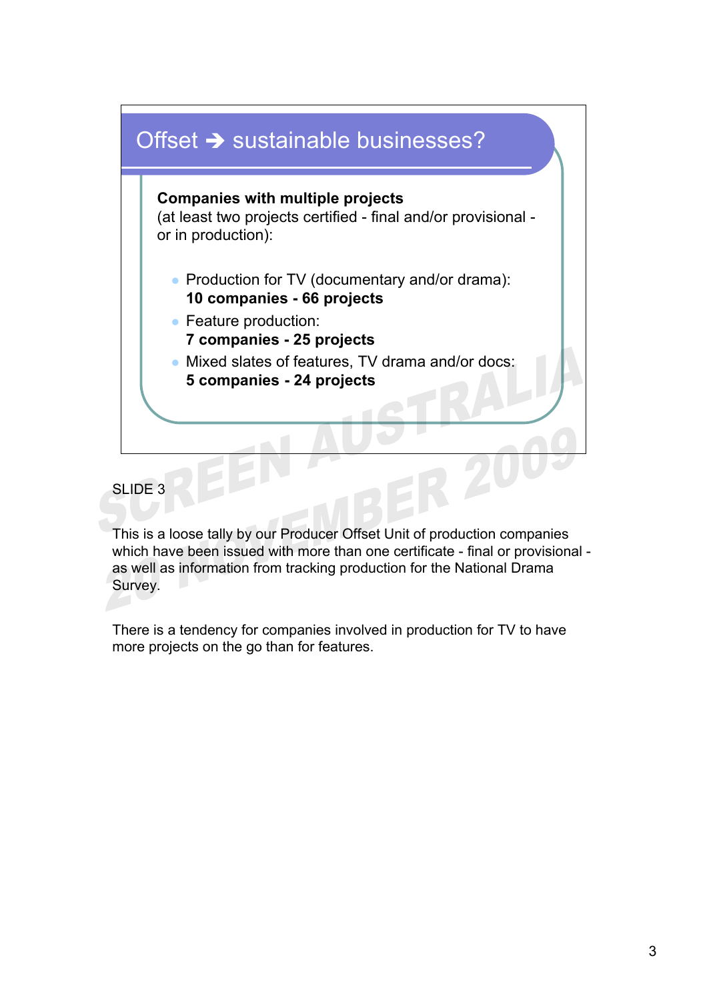

This is a loose tally by our Producer Offset Unit of production companies which have been issued with more than one certificate - final or provisional as well as information from tracking production for the National Drama Survey.

There is a tendency for companies involved in production for TV to have more projects on the go than for features.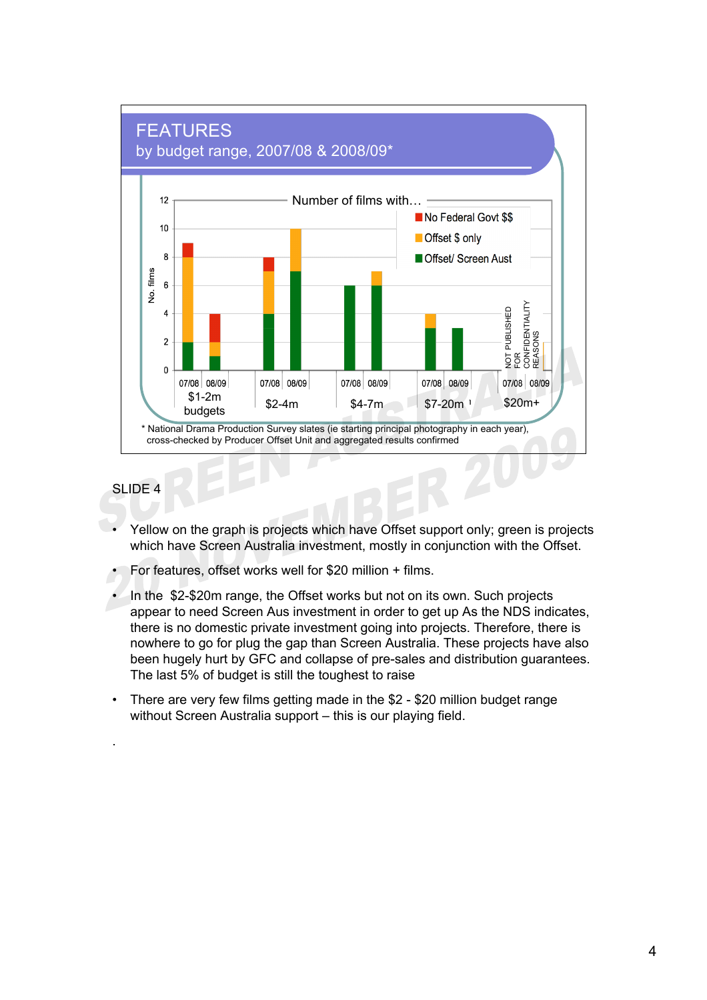

.

- Yellow on the graph is projects which have Offset support only; green is projects which have Screen Australia investment, mostly in conjunction with the Offset.
- For features, offset works well for \$20 million + films.
- In the \$2-\$20m range, the Offset works but not on its own. Such projects appear to need Screen Aus investment in order to get up As the NDS indicates, there is no domestic private investment going into projects. Therefore, there is nowhere to go for plug the gap than Screen Australia. These projects have also been hugely hurt by GFC and collapse of pre-sales and distribution guarantees. The last 5% of budget is still the toughest to raise
- There are very few films getting made in the \$2 \$20 million budget range without Screen Australia support – this is our playing field.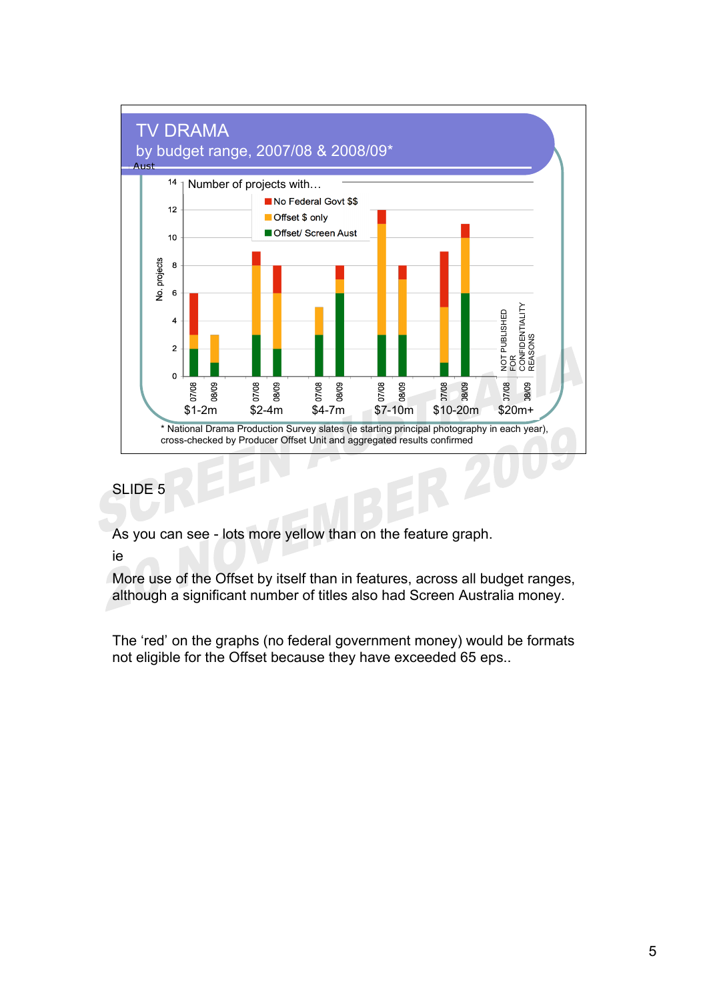

As you can see - lots more yellow than on the feature graph.

ie

More use of the Offset by itself than in features, across all budget ranges, although a significant number of titles also had Screen Australia money.

The 'red' on the graphs (no federal government money) would be formats not eligible for the Offset because they have exceeded 65 eps..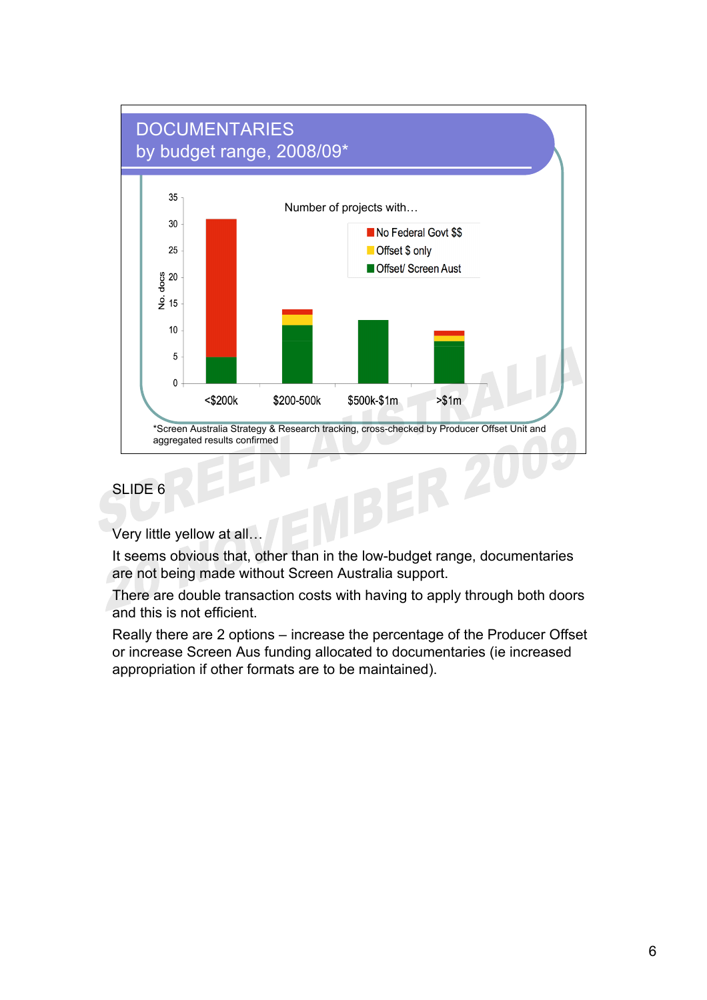# **DOCUMENTARIES** by budget range, 2008/09\*



### SLIDE<sub>6</sub>

Very little yellow at all…

It seems obvious that, other than in the low-budget range, documentaries are not being made without Screen Australia support.

There are double transaction costs with having to apply through both doors and this is not efficient.

Really there are 2 options – increase the percentage of the Producer Offset or increase Screen Aus funding allocated to documentaries (ie increased appropriation if other formats are to be maintained).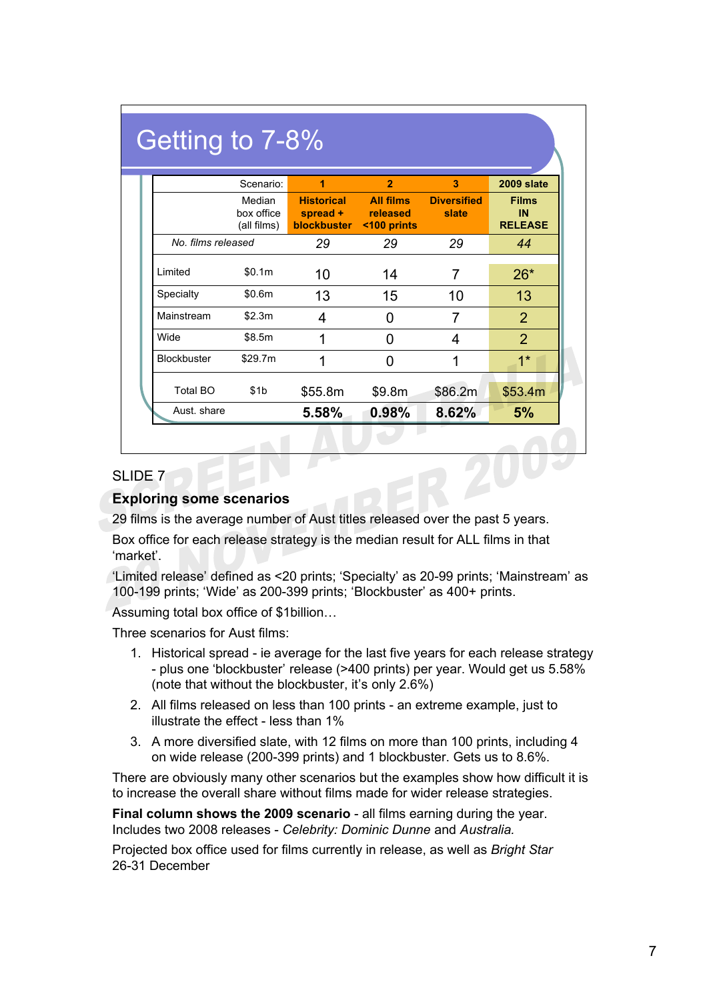|                    | Scenario:                           | 1                                            | $\overline{2}$                              | 3                           | 2009 slate                           |
|--------------------|-------------------------------------|----------------------------------------------|---------------------------------------------|-----------------------------|--------------------------------------|
|                    | Median<br>box office<br>(all films) | <b>Historical</b><br>spread +<br>blockbuster | <b>All films</b><br>released<br><100 prints | <b>Diversified</b><br>slate | <b>Films</b><br>IN<br><b>RELEASE</b> |
| No. films released |                                     | 29                                           | 29                                          | 29                          | 44                                   |
| Limited            | \$0.1m                              | 10                                           | 14                                          | 7                           | $26*$                                |
| Specialty          | \$0.6m                              | 13                                           | 15                                          | 10                          | 13                                   |
| Mainstream         | \$2.3m                              | 4                                            | O                                           | 7                           | $\overline{2}$                       |
| <b>Wide</b>        | \$8.5m                              | 1                                            | ŋ                                           | 4                           | $\overline{2}$                       |
| <b>Blockbuster</b> | \$29.7m                             | 1                                            | O                                           | 1                           | $1*$                                 |

#### **Exploring some scenarios**

29 films is the average number of Aust titles released over the past 5 years.

Box office for each release strategy is the median result for ALL films in that 'market'.

'Limited release' defined as <20 prints; 'Specialty' as 20-99 prints; 'Mainstream' as 100-199 prints; 'Wide' as 200-399 prints; 'Blockbuster' as 400+ prints.

Assuming total box office of \$1billion…

Three scenarios for Aust films:

- 1. Historical spread ie average for the last five years for each release strategy - plus one 'blockbuster' release (>400 prints) per year. Would get us 5.58% (note that without the blockbuster, it's only 2.6%)
- 2. All films released on less than 100 prints an extreme example, just to illustrate the effect - less than 1%
- 3. A more diversified slate, with 12 films on more than 100 prints, including 4 on wide release (200-399 prints) and 1 blockbuster. Gets us to 8.6%.

There are obviously many other scenarios but the examples show how difficult it is to increase the overall share without films made for wider release strategies.

**Final column shows the 2009 scenario** - all films earning during the year. Includes two 2008 releases - *Celebrity: Dominic Dunne* and *Australia.*

Projected box office used for films currently in release, as well as *Bright Star* 26-31 December